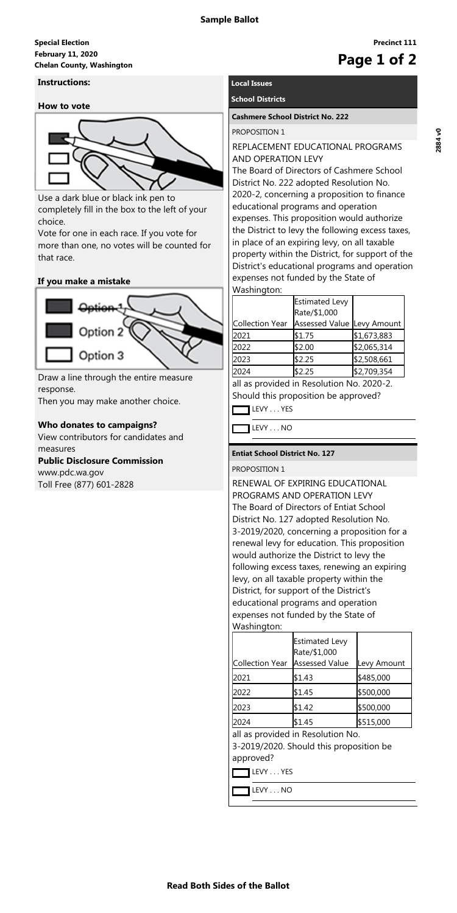## **February 11, 2020 Special Election Chelan County, Washington**<br>
Chelan County, Washington

**Read Both Sides of the Ballot**

**Precinct 111**

# **Instructions:**

### **How to vote**



Use a dark blue or black ink pen to completely fill in the box to the left of your choice.

Vote for one in each race. If you vote for more than one, no votes will be counted for that race.

# **If you make a mistake**



Draw a line through the entire measure response.

Then you may make another choice.

# **Who donates to campaigns?**

View contributors for candidates and measures

# **Public Disclosure Commission**

www.pdc.wa.gov Toll Free (877) 601-2828

# **Local Issues**

# **School Districts**

#### **Cashmere School District No. 222**

PROPOSITION 1

# REPLACEMENT EDUCATIONAL PROGRAMS AND OPERATION LEVY

The Board of Directors of Cashmere School District No. 222 adopted Resolution No. 2020-2, concerning a proposition to finance educational programs and operation expenses. This proposition would authorize the District to levy the following excess taxes, in place of an expiring levy, on all taxable property within the District, for support of the District's educational programs and operation expenses not funded by the State of Washington:

|                 | Estimated Levy<br>Rate/\$1,000 |             |
|-----------------|--------------------------------|-------------|
| Collection Year | Assessed Value Levy Amount     |             |
| 2021            | \$1.75                         | \$1,673,883 |
| 2022            | \$2.00                         | \$2,065,314 |
| 2023            | \$2.25                         | \$2,508,661 |
| 2024            | \$2.25                         | \$2,709,354 |
| . .             |                                |             |

all as provided in Resolution No. 2020-2. Should this proposition be approved?

LEVY . . . YES

LEVY . . . NO

### **Entiat School District No. 127**

### PROPOSITION 1

RENEWAL OF EXPIRING EDUCATIONAL PROGRAMS AND OPERATION LEVY The Board of Directors of Entiat School District No. 127 adopted Resolution No. 3-2019/2020, concerning a proposition for a renewal levy for education. This proposition would authorize the District to levy the following excess taxes, renewing an expiring levy, on all taxable property within the District, for support of the District's educational programs and operation expenses not funded by the State of Washington:

|                                | <b>Estimated Levy</b> |             |
|--------------------------------|-----------------------|-------------|
|                                | Rate/\$1,000          |             |
| Collection Year Assessed Value |                       | Levy Amount |

| 2021                                   | \$1.43 | \$485,000 |
|----------------------------------------|--------|-----------|
| 2022                                   | \$1.45 | \$500,000 |
| 2023                                   | \$1.42 | \$500,000 |
| 2024                                   | \$1.45 | \$515,000 |
| all as provided in Resolution No.      |        |           |
| 2.2010/2020 Chauld this proposition be |        |           |

3-2019/2020. Should this proposition be approved?

LEVY . . . NO